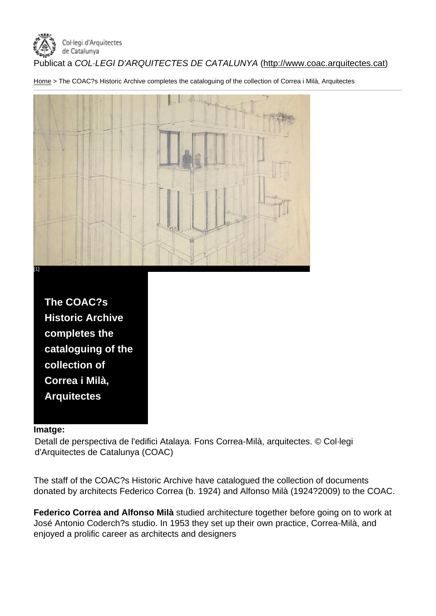Publicat a COL·LEGI D'ARQUITECTES DE CATALUNYA (http://www.coac.arquitectes.cat)

Home > The COAC?s Historic Archive completes the cataloguing of the collection of Correa i Milà, Arquitectes



## Imatge:

Detall de perspectiva de l'edifici Atalaya. Fons Correa-Milà, arquitectes. © Col·legi d'Arquitectes de Catalunya (COAC)

The staff of the COAC?s Historic Archive have catalogued the collection of documents donated by architects Federico Correa (b. 1924) and Alfonso Milà (1924?2009) to the COAC.

Federico Correa and Alfonso Milà studied architecture together before going on to work at José Antonio Coderch?s studio. In 1953 they set up their own practice, Correa-Milà, and enjoyed a prolific career as architects and designers